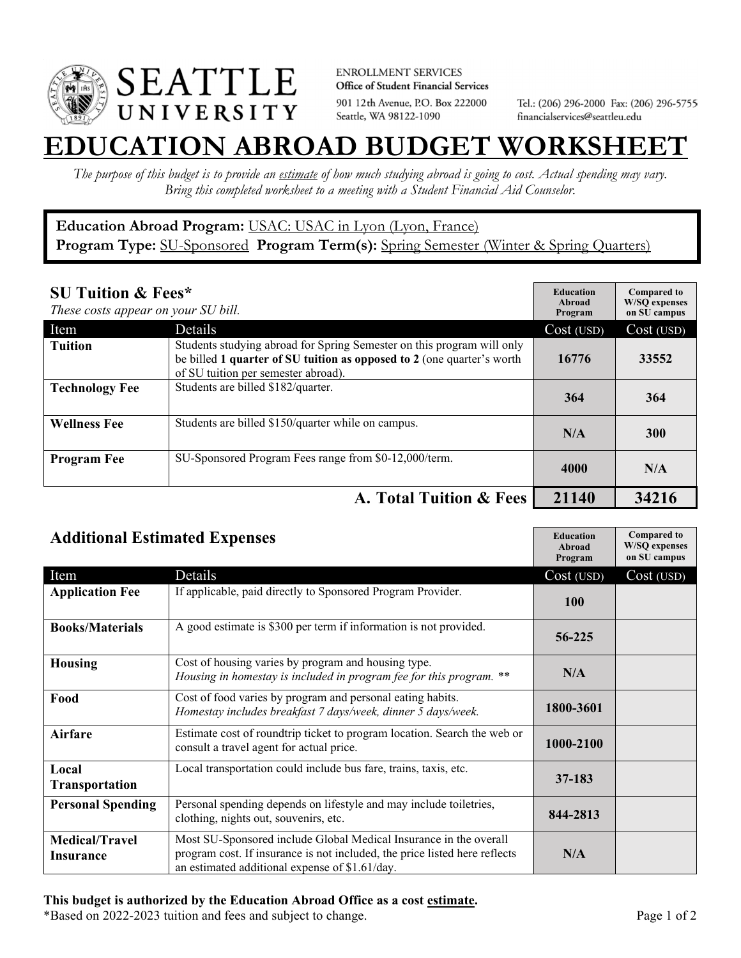

**ENROLLMENT SERVICES** Office of Student Financial Services 901 12th Avenue, P.O. Box 222000 Seattle, WA 98122-1090

Tel.: (206) 296-2000 Fax: (206) 296-5755 financialservices@seattleu.edu

## **EATION ABROAD BUDGET WORKSHEE**

*The purpose of this budget is to provide an estimate of how much studying abroad is going to cost. Actual spending may vary. Bring this completed worksheet to a meeting with a Student Financial Aid Counselor.* 

## **Education Abroad Program:** USAC: USAC in Lyon (Lyon, France) Program Type: **SU-Sponsored** Program Term(s): **Spring Semester** (Winter & Spring Quarters)

| <b>SU Tuition &amp; Fees*</b><br>These costs appear on your SU bill. |                                                                                                                                                                                         | <b>Education</b><br>Abroad<br>Program | <b>Compared to</b><br><b>W/SO</b> expenses<br>on SU campus |
|----------------------------------------------------------------------|-----------------------------------------------------------------------------------------------------------------------------------------------------------------------------------------|---------------------------------------|------------------------------------------------------------|
| Item                                                                 | Details                                                                                                                                                                                 | Cost (USD)                            | Cost (USD)                                                 |
| <b>Tuition</b>                                                       | Students studying abroad for Spring Semester on this program will only<br>be billed 1 quarter of SU tuition as opposed to 2 (one quarter's worth<br>of SU tuition per semester abroad). | 16776                                 | 33552                                                      |
| <b>Technology Fee</b>                                                | Students are billed \$182/quarter.                                                                                                                                                      | 364                                   | 364                                                        |
| <b>Wellness Fee</b>                                                  | Students are billed \$150/quarter while on campus.                                                                                                                                      | N/A                                   | <b>300</b>                                                 |
| <b>Program Fee</b>                                                   | SU-Sponsored Program Fees range from \$0-12,000/term.                                                                                                                                   | 4000                                  | N/A                                                        |
|                                                                      | A. Total Tuition & Fees                                                                                                                                                                 | 21140                                 | 34216                                                      |

| <b>Additional Estimated Expenses</b> |                                                                                                                                                                                                   | <b>Education</b><br>Abroad<br>Program | <b>Compared to</b><br><b>W/SQ</b> expenses<br>on SU campus |
|--------------------------------------|---------------------------------------------------------------------------------------------------------------------------------------------------------------------------------------------------|---------------------------------------|------------------------------------------------------------|
| Item                                 | Details                                                                                                                                                                                           | Cost (USD)                            | Cost (USD)                                                 |
| <b>Application Fee</b>               | If applicable, paid directly to Sponsored Program Provider.                                                                                                                                       | <b>100</b>                            |                                                            |
| <b>Books/Materials</b>               | A good estimate is \$300 per term if information is not provided.                                                                                                                                 | 56-225                                |                                                            |
| <b>Housing</b>                       | Cost of housing varies by program and housing type.<br>Housing in homestay is included in program fee for this program. **                                                                        | N/A                                   |                                                            |
| Food                                 | Cost of food varies by program and personal eating habits.<br>Homestay includes breakfast 7 days/week, dinner 5 days/week.                                                                        | 1800-3601                             |                                                            |
| Airfare                              | Estimate cost of roundtrip ticket to program location. Search the web or<br>consult a travel agent for actual price.                                                                              | 1000-2100                             |                                                            |
| Local<br><b>Transportation</b>       | Local transportation could include bus fare, trains, taxis, etc.                                                                                                                                  | 37-183                                |                                                            |
| <b>Personal Spending</b>             | Personal spending depends on lifestyle and may include toiletries,<br>clothing, nights out, souvenirs, etc.                                                                                       | 844-2813                              |                                                            |
| <b>Medical/Travel</b><br>Insurance   | Most SU-Sponsored include Global Medical Insurance in the overall<br>program cost. If insurance is not included, the price listed here reflects<br>an estimated additional expense of \$1.61/day. | N/A                                   |                                                            |

## **This budget is authorized by the Education Abroad Office as a cost estimate.**

\*Based on 2022-2023 tuition and fees and subject to change. Page 1 of 2